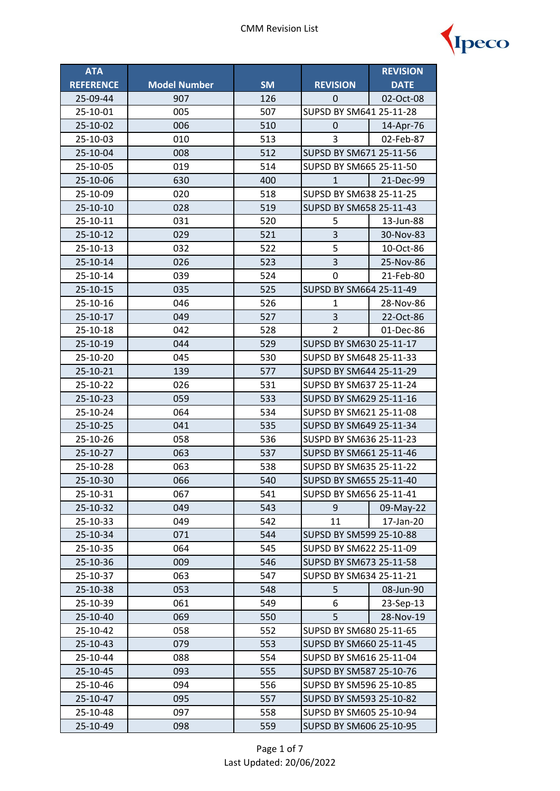

| <b>ATA</b>       |                     |           |                         | <b>REVISION</b>         |  |
|------------------|---------------------|-----------|-------------------------|-------------------------|--|
| <b>REFERENCE</b> | <b>Model Number</b> | <b>SM</b> | <b>REVISION</b>         | <b>DATE</b>             |  |
| 25-09-44         | 907                 | 126       | 0                       | 02-Oct-08               |  |
| 25-10-01         | 005                 | 507       | SUPSD BY SM641 25-11-28 |                         |  |
| 25-10-02         | 006                 | 510       | 14-Apr-76<br>0          |                         |  |
| 25-10-03         | 010                 | 513       | 3                       | 02-Feb-87               |  |
| 25-10-04         | 008                 | 512       | SUPSD BY SM671 25-11-56 |                         |  |
| 25-10-05         | 019                 | 514       | SUPSD BY SM665 25-11-50 |                         |  |
| 25-10-06         | 630                 | 400       | $\mathbf{1}$            | 21-Dec-99               |  |
| 25-10-09         | 020                 | 518       | SUPSD BY SM638 25-11-25 |                         |  |
| 25-10-10         | 028                 | 519       | SUPSD BY SM658 25-11-43 |                         |  |
| 25-10-11         | 031                 | 520       | 5                       | 13-Jun-88               |  |
| 25-10-12         | 029                 | 521       | 3                       | 30-Nov-83               |  |
| 25-10-13         | 032                 | 522       | 5                       | 10-Oct-86               |  |
| 25-10-14         | 026                 | 523       | $\overline{\mathbf{3}}$ | 25-Nov-86               |  |
| 25-10-14         | 039                 | 524       | 0                       | 21-Feb-80               |  |
| 25-10-15         | 035                 | 525       | SUPSD BY SM664 25-11-49 |                         |  |
| 25-10-16         | 046                 | 526       | 1                       | 28-Nov-86               |  |
| 25-10-17         | 049                 | 527       | 3                       | 22-Oct-86               |  |
| 25-10-18         | 042                 | 528       | $\overline{2}$          | 01-Dec-86               |  |
| 25-10-19         | 044                 | 529       | SUPSD BY SM630 25-11-17 |                         |  |
| 25-10-20         | 045                 | 530       | SUPSD BY SM648 25-11-33 |                         |  |
| 25-10-21         | 139                 | 577       |                         | SUPSD BY SM644 25-11-29 |  |
| 25-10-22         | 026                 | 531       | SUPSD BY SM637 25-11-24 |                         |  |
| 25-10-23         | 059                 | 533       | SUPSD BY SM629 25-11-16 |                         |  |
| 25-10-24         | 064                 | 534       |                         | SUPSD BY SM621 25-11-08 |  |
| 25-10-25         | 041                 | 535       | SUPSD BY SM649 25-11-34 |                         |  |
| 25-10-26         | 058                 | 536       | SUSPD BY SM636 25-11-23 |                         |  |
| 25-10-27         | 063                 | 537       | SUPSD BY SM661 25-11-46 |                         |  |
| 25-10-28         | 063                 | 538       | SUPSD BY SM635 25-11-22 |                         |  |
| 25-10-30         | 066                 | 540       | SUPSD BY SM655 25-11-40 |                         |  |
| 25-10-31         | 067                 | 541       | SUPSD BY SM656 25-11-41 |                         |  |
| 25-10-32         | 049                 | 543       | 9                       | 09-May-22               |  |
| 25-10-33         | 049                 | 542       | 11                      | 17-Jan-20               |  |
| 25-10-34         | 071                 | 544       | SUPSD BY SM599 25-10-88 |                         |  |
| 25-10-35         | 064                 | 545       | SUPSD BY SM622 25-11-09 |                         |  |
| 25-10-36         | 009                 | 546       | SUPSD BY SM673 25-11-58 |                         |  |
| 25-10-37         | 063                 | 547       | SUPSD BY SM634 25-11-21 |                         |  |
| 25-10-38         | 053                 | 548       | 5                       | 08-Jun-90               |  |
| 25-10-39         | 061                 | 549       | 6                       | 23-Sep-13               |  |
| 25-10-40         | 069                 | 550       | 5                       | 28-Nov-19               |  |
| 25-10-42         | 058                 | 552       | SUPSD BY SM680 25-11-65 |                         |  |
| 25-10-43         | 079                 | 553       | SUPSD BY SM660 25-11-45 |                         |  |
| 25-10-44         | 088                 | 554       | SUPSD BY SM616 25-11-04 |                         |  |
| 25-10-45         | 093                 | 555       | SUPSD BY SM587 25-10-76 |                         |  |
| 25-10-46         | 094                 | 556       | SUPSD BY SM596 25-10-85 |                         |  |
| 25-10-47         | 095                 | 557       | SUPSD BY SM593 25-10-82 |                         |  |
| 25-10-48         | 097                 | 558       | SUPSD BY SM605 25-10-94 |                         |  |
| 25-10-49         | 098                 | 559       | SUPSD BY SM606 25-10-95 |                         |  |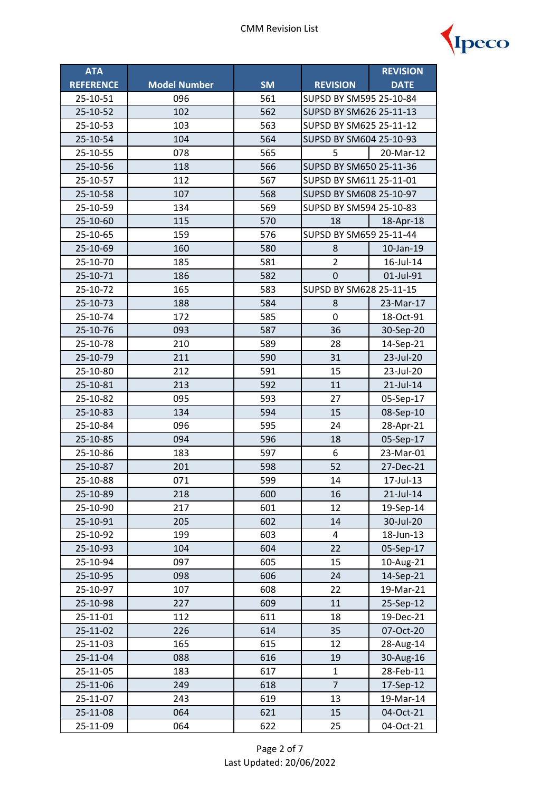

| <b>ATA</b>       |                     |           |                         | <b>REVISION</b> |  |
|------------------|---------------------|-----------|-------------------------|-----------------|--|
| <b>REFERENCE</b> | <b>Model Number</b> | <b>SM</b> | <b>REVISION</b>         | <b>DATE</b>     |  |
| 25-10-51         | 096                 | 561       | SUPSD BY SM595 25-10-84 |                 |  |
| 25-10-52         | 102                 | 562       | SUPSD BY SM626 25-11-13 |                 |  |
| 25-10-53         | 103                 | 563       | SUPSD BY SM625 25-11-12 |                 |  |
| 25-10-54         | 104                 | 564       | SUPSD BY SM604 25-10-93 |                 |  |
| 25-10-55         | 078                 | 565       | 5<br>20-Mar-12          |                 |  |
| 25-10-56         | 118                 | 566       | SUPSD BY SM650 25-11-36 |                 |  |
| 25-10-57         | 112                 | 567       | SUPSD BY SM611 25-11-01 |                 |  |
| 25-10-58         | 107                 | 568       | SUPSD BY SM608 25-10-97 |                 |  |
| 25-10-59         | 134                 | 569       | SUPSD BY SM594 25-10-83 |                 |  |
| 25-10-60         | 115                 | 570       | 18                      | 18-Apr-18       |  |
| 25-10-65         | 159                 | 576       | SUPSD BY SM659 25-11-44 |                 |  |
| 25-10-69         | 160                 | 580       | 8                       | 10-Jan-19       |  |
| 25-10-70         | 185                 | 581       | $\overline{2}$          | 16-Jul-14       |  |
| 25-10-71         | 186                 | 582       | 0                       | 01-Jul-91       |  |
| 25-10-72         | 165                 | 583       | SUPSD BY SM628 25-11-15 |                 |  |
| 25-10-73         | 188                 | 584       | 8                       | 23-Mar-17       |  |
| 25-10-74         | 172                 | 585       | 0                       | 18-Oct-91       |  |
| 25-10-76         | 093                 | 587       | 36                      | 30-Sep-20       |  |
| 25-10-78         | 210                 | 589       | 28                      | 14-Sep-21       |  |
| 25-10-79         | 211                 | 590       | 31                      | 23-Jul-20       |  |
| 25-10-80         | 212                 | 591       | 15                      | 23-Jul-20       |  |
| 25-10-81         | 213                 | 592       | 11                      | 21-Jul-14       |  |
| 25-10-82         | 095                 | 593       | 27                      | 05-Sep-17       |  |
| 25-10-83         | 134                 | 594       | 15                      | 08-Sep-10       |  |
| 25-10-84         | 096                 | 595       | 24                      | 28-Apr-21       |  |
| 25-10-85         | 094                 | 596       | 18                      | 05-Sep-17       |  |
| 25-10-86         | 183                 | 597       | 6                       | 23-Mar-01       |  |
| 25-10-87         | 201                 | 598       | 52                      | 27-Dec-21       |  |
| 25-10-88         | 071                 | 599       | 14                      | 17-Jul-13       |  |
| 25-10-89         | 218                 | 600       | 16                      | 21-Jul-14       |  |
| 25-10-90         | 217                 | 601       | 12                      | 19-Sep-14       |  |
| 25-10-91         | 205                 | 602       | 14                      | 30-Jul-20       |  |
| 25-10-92         | 199                 | 603       | 4                       | 18-Jun-13       |  |
| 25-10-93         | 104                 | 604       | 22                      | 05-Sep-17       |  |
| 25-10-94         | 097                 | 605       | 15                      | 10-Aug-21       |  |
| 25-10-95         | 098                 | 606       | 24                      | 14-Sep-21       |  |
| 25-10-97         | 107                 | 608       | 22                      | 19-Mar-21       |  |
| 25-10-98         | 227                 | 609       | 11                      | 25-Sep-12       |  |
| 25-11-01         | 112                 | 611       | 18                      | 19-Dec-21       |  |
| 25-11-02         | 226                 | 614       | 35                      | 07-Oct-20       |  |
| 25-11-03         | 165                 | 615       | 12                      | 28-Aug-14       |  |
| 25-11-04         | 088                 | 616       | 19                      | 30-Aug-16       |  |
| 25-11-05         | 183                 | 617       | $\mathbf{1}$            | 28-Feb-11       |  |
| 25-11-06         | 249                 | 618       | $\overline{7}$          | 17-Sep-12       |  |
| 25-11-07         | 243                 | 619       | 13                      | 19-Mar-14       |  |
| 25-11-08         | 064                 | 621       | 15                      | 04-Oct-21       |  |
| 25-11-09         | 064                 | 622       | 25                      | 04-Oct-21       |  |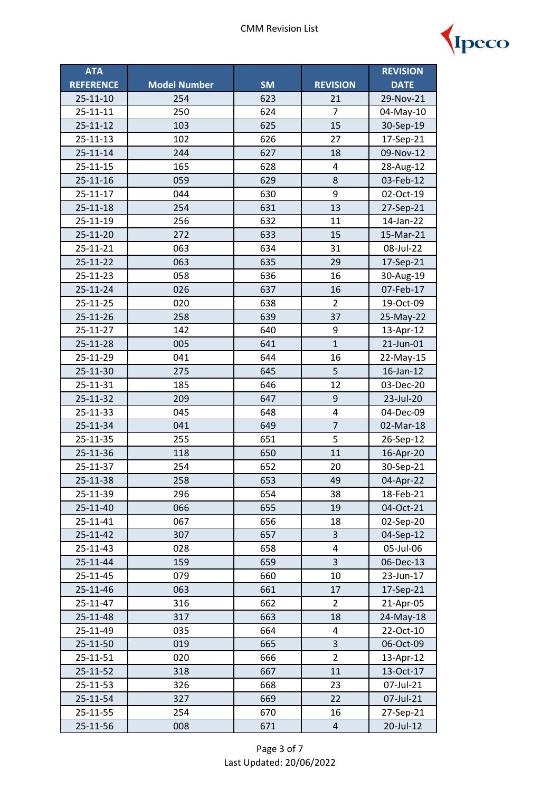

| <b>ATA</b>       |                     |           |                         | <b>REVISION</b> |
|------------------|---------------------|-----------|-------------------------|-----------------|
| <b>REFERENCE</b> | <b>Model Number</b> | <b>SM</b> | <b>REVISION</b>         | <b>DATE</b>     |
| $25 - 11 - 10$   | 254                 | 623       | 21                      | 29-Nov-21       |
| 25-11-11         | 250                 | 624       | 7                       | 04-May-10       |
| $25 - 11 - 12$   | 103                 | 625       | 15                      | 30-Sep-19       |
| $25 - 11 - 13$   | 102                 | 626       | 27                      | 17-Sep-21       |
| $25 - 11 - 14$   | 244                 | 627       | 18                      | 09-Nov-12       |
| 25-11-15         | 165                 | 628       | 4                       | 28-Aug-12       |
| $25 - 11 - 16$   | 059                 | 629       | 8                       | 03-Feb-12       |
| 25-11-17         | 044                 | 630       | 9                       | 02-Oct-19       |
| 25-11-18         | 254                 | 631       | 13                      | 27-Sep-21       |
| 25-11-19         | 256                 | 632       | 11                      | 14-Jan-22       |
| 25-11-20         | 272                 | 633       | 15                      | 15-Mar-21       |
| 25-11-21         | 063                 | 634       | 31                      | 08-Jul-22       |
| 25-11-22         | 063                 | 635       | 29                      | 17-Sep-21       |
| 25-11-23         | 058                 | 636       | 16                      | 30-Aug-19       |
| 25-11-24         | 026                 | 637       | 16                      | 07-Feb-17       |
| 25-11-25         | 020                 | 638       | $\overline{2}$          | 19-Oct-09       |
| 25-11-26         | 258                 | 639       | 37                      | 25-May-22       |
| 25-11-27         | 142                 | 640       | 9                       | 13-Apr-12       |
| 25-11-28         | 005                 | 641       | $\mathbf{1}$            | 21-Jun-01       |
| 25-11-29         | 041                 | 644       | 16                      | 22-May-15       |
| 25-11-30         | 275                 | 645       | 5                       | 16-Jan-12       |
| 25-11-31         | 185                 | 646       | 12                      | 03-Dec-20       |
| 25-11-32         | 209                 | 647       | 9                       | 23-Jul-20       |
| 25-11-33         | 045                 | 648       | $\overline{\mathbf{4}}$ | 04-Dec-09       |
| 25-11-34         | 041                 | 649       | $\overline{7}$          | 02-Mar-18       |
| 25-11-35         | 255                 | 651       | 5                       | 26-Sep-12       |
| 25-11-36         | 118                 | 650       | 11                      | 16-Apr-20       |
| 25-11-37         | 254                 | 652       | 20                      | 30-Sep-21       |
| 25-11-38         | 258                 | 653       | 49                      | 04-Apr-22       |
| 25-11-39         | 296                 | 654       | 38                      | 18-Feb-21       |
| 25-11-40         | 066                 | 655       | 19                      | 04-Oct-21       |
| 25-11-41         | 067                 | 656       | 18                      | 02-Sep-20       |
| 25-11-42         | 307                 | 657       | 3                       | 04-Sep-12       |
| 25-11-43         | 028                 | 658       | 4                       | 05-Jul-06       |
| 25-11-44         | 159                 | 659       | 3                       | 06-Dec-13       |
| 25-11-45         | 079                 | 660       | 10                      | 23-Jun-17       |
| 25-11-46         | 063                 | 661       | 17                      | 17-Sep-21       |
| 25-11-47         | 316                 | 662       | $\overline{2}$          | 21-Apr-05       |
| 25-11-48         | 317                 | 663       | 18                      | 24-May-18       |
| 25-11-49         | 035                 | 664       | 4                       | 22-Oct-10       |
| 25-11-50         | 019                 | 665       | 3                       | 06-Oct-09       |
| 25-11-51         | 020                 | 666       | $\overline{2}$          | 13-Apr-12       |
| 25-11-52         | 318                 | 667       | 11                      | 13-Oct-17       |
| 25-11-53         | 326                 | 668       | 23                      | 07-Jul-21       |
| 25-11-54         | 327                 | 669       | 22                      | 07-Jul-21       |
| 25-11-55         | 254                 | 670       | 16                      | 27-Sep-21       |
| 25-11-56         | 008                 | 671       | $\overline{4}$          | 20-Jul-12       |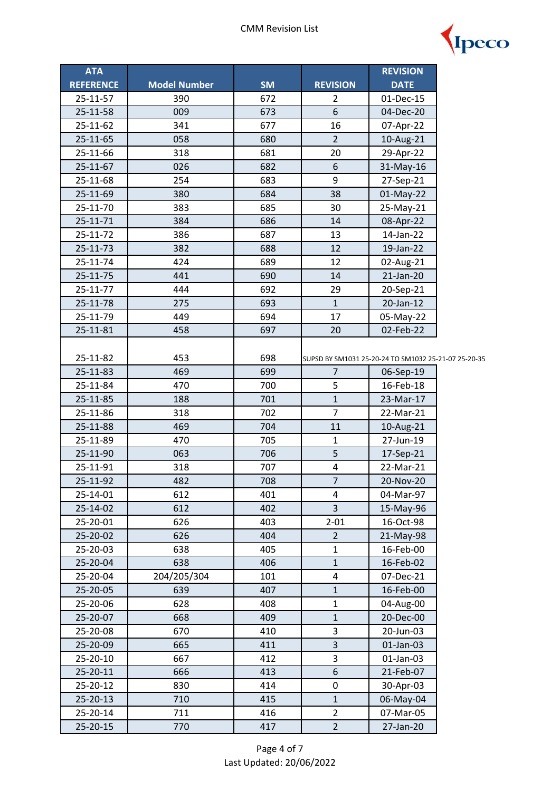

| <b>ATA</b>       |                     |           |                         | <b>REVISION</b>                                      |  |
|------------------|---------------------|-----------|-------------------------|------------------------------------------------------|--|
| <b>REFERENCE</b> | <b>Model Number</b> | <b>SM</b> | <b>REVISION</b>         | <b>DATE</b>                                          |  |
| 25-11-57         | 390                 | 672       | 2                       | 01-Dec-15                                            |  |
| 25-11-58         | 009                 | 673       | 6                       | 04-Dec-20                                            |  |
| 25-11-62         | 341                 | 677       | 16                      | 07-Apr-22                                            |  |
| 25-11-65         | 058                 | 680       | $\overline{2}$          | 10-Aug-21                                            |  |
| 25-11-66         | 318                 | 681       | 20                      | 29-Apr-22                                            |  |
| 25-11-67         | 026                 | 682       | 6                       | 31-May-16                                            |  |
| 25-11-68         | 254                 | 683       | 9                       | 27-Sep-21                                            |  |
| 25-11-69         | 380                 | 684       | 38                      | 01-May-22                                            |  |
| 25-11-70         | 383                 | 685       | 30                      | 25-May-21                                            |  |
| 25-11-71         | 384                 | 686       | 14                      | 08-Apr-22                                            |  |
| 25-11-72         | 386                 | 687       | 13                      | 14-Jan-22                                            |  |
| 25-11-73         | 382                 | 688       | 12                      | 19-Jan-22                                            |  |
| 25-11-74         | 424                 | 689       | 12                      | 02-Aug-21                                            |  |
| 25-11-75         | 441                 | 690       | 14                      | 21-Jan-20                                            |  |
| 25-11-77         | 444                 | 692       | 29                      | 20-Sep-21                                            |  |
| 25-11-78         | 275                 | 693       | $\mathbf{1}$            | 20-Jan-12                                            |  |
| 25-11-79         | 449                 | 694       | 17                      | 05-May-22                                            |  |
| 25-11-81         | 458                 | 697       | 20                      | 02-Feb-22                                            |  |
|                  |                     |           |                         |                                                      |  |
| 25-11-82         | 453                 | 698       |                         | SUPSD BY SM1031 25-20-24 TO SM1032 25-21-07 25-20-35 |  |
| 25-11-83         | 469                 | 699       | $\overline{7}$          | 06-Sep-19                                            |  |
| 25-11-84         | 470                 | 700       | 5                       | 16-Feb-18                                            |  |
| 25-11-85         | 188                 | 701       | $\mathbf{1}$            | 23-Mar-17                                            |  |
| 25-11-86         | 318                 | 702       | $\overline{7}$          | 22-Mar-21                                            |  |
| 25-11-88         | 469                 | 704       | 11                      | 10-Aug-21                                            |  |
| 25-11-89         | 470                 | 705       | $\mathbf{1}$            | 27-Jun-19                                            |  |
| 25-11-90         | 063                 | 706       | 5                       | 17-Sep-21                                            |  |
| 25-11-91         | 318                 | 707       | $\pmb{4}$               | 22-Mar-21                                            |  |
| 25-11-92         | 482                 | 708       | $\overline{7}$          | 20-Nov-20                                            |  |
| 25-14-01         | 612                 | 401       | 4                       | 04-Mar-97                                            |  |
| 25-14-02         | 612                 | 402       | 3                       | 15-May-96                                            |  |
| 25-20-01         | 626                 | 403       | $2 - 01$                | 16-Oct-98                                            |  |
| 25-20-02         | 626                 | 404       | $\overline{2}$          | 21-May-98                                            |  |
| 25-20-03         | 638                 | 405       | $\mathbf{1}$            | 16-Feb-00                                            |  |
| 25-20-04         | 638                 | 406       | $\mathbf 1$             | 16-Feb-02                                            |  |
| 25-20-04         | 204/205/304         | 101       | $\overline{\mathbf{4}}$ | 07-Dec-21                                            |  |
| 25-20-05         | 639                 | 407       | $\mathbf{1}$            | 16-Feb-00                                            |  |
| 25-20-06         | 628                 | 408       | $\mathbf{1}$            | 04-Aug-00                                            |  |
| 25-20-07         | 668                 | 409       | $\mathbf{1}$            | 20-Dec-00                                            |  |
| 25-20-08         | 670                 | 410       | 3                       | 20-Jun-03                                            |  |
| 25-20-09         | 665                 | 411       | $\overline{\mathbf{3}}$ | 01-Jan-03                                            |  |
| 25-20-10         | 667                 | 412       | 3                       | 01-Jan-03                                            |  |
| 25-20-11         | 666                 | 413       | 6                       | 21-Feb-07                                            |  |
| 25-20-12         | 830                 | 414       | 0                       | 30-Apr-03                                            |  |
| 25-20-13         | 710                 | 415       | $\mathbf{1}$            | 06-May-04                                            |  |
| 25-20-14         | 711                 | 416       | $\overline{2}$          | 07-Mar-05                                            |  |
| 25-20-15         | 770                 | 417       | $\overline{2}$          | 27-Jan-20                                            |  |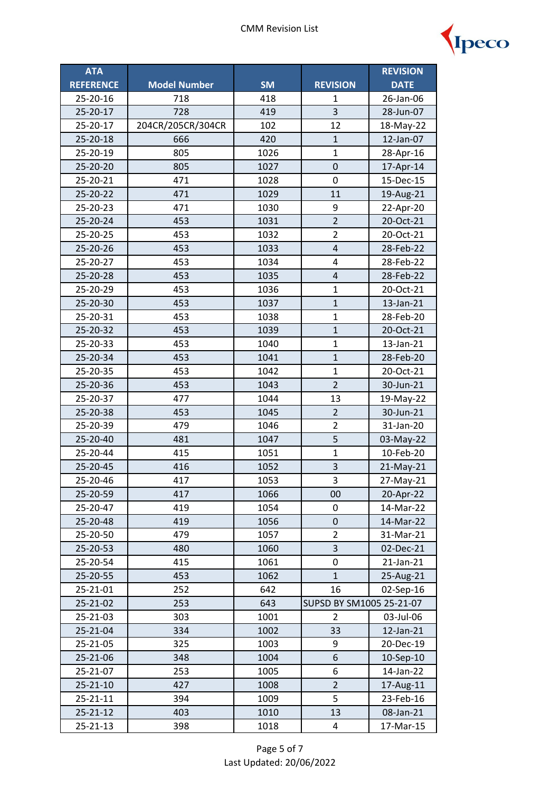

| <b>ATA</b>       |                     |           |                          | <b>REVISION</b> |
|------------------|---------------------|-----------|--------------------------|-----------------|
| <b>REFERENCE</b> | <b>Model Number</b> | <b>SM</b> | <b>REVISION</b>          | <b>DATE</b>     |
| 25-20-16         | 718                 | 418       | 1                        | 26-Jan-06       |
| 25-20-17         | 728                 | 419       | 3                        | 28-Jun-07       |
| 25-20-17         | 204CR/205CR/304CR   | 102       | 12                       | 18-May-22       |
| 25-20-18         | 666                 | 420       | $\mathbf{1}$             | 12-Jan-07       |
| 25-20-19         | 805                 | 1026      | $\mathbf{1}$             | 28-Apr-16       |
| 25-20-20         | 805                 | 1027      | $\pmb{0}$                | 17-Apr-14       |
| 25-20-21         | 471                 | 1028      | 0                        | 15-Dec-15       |
| 25-20-22         | 471                 | 1029      | 11                       | 19-Aug-21       |
| 25-20-23         | 471                 | 1030      | 9                        | 22-Apr-20       |
| 25-20-24         | 453                 | 1031      | $\overline{2}$           | 20-Oct-21       |
| 25-20-25         | 453                 | 1032      | $\overline{2}$           | 20-Oct-21       |
| 25-20-26         | 453                 | 1033      | $\overline{4}$           | 28-Feb-22       |
| 25-20-27         | 453                 | 1034      | $\overline{\mathbf{4}}$  | 28-Feb-22       |
| 25-20-28         | 453                 | 1035      | $\pmb{4}$                | 28-Feb-22       |
| 25-20-29         | 453                 | 1036      | $\mathbf{1}$             | 20-Oct-21       |
| 25-20-30         | 453                 | 1037      | $\overline{1}$           | 13-Jan-21       |
| 25-20-31         | 453                 | 1038      | $\mathbf{1}$             | 28-Feb-20       |
| 25-20-32         | 453                 | 1039      | $\overline{1}$           | 20-Oct-21       |
| 25-20-33         | 453                 | 1040      | $\mathbf{1}$             | 13-Jan-21       |
| 25-20-34         | 453                 | 1041      | $\mathbf{1}$             | 28-Feb-20       |
| 25-20-35         | 453                 | 1042      | $\mathbf{1}$             | 20-Oct-21       |
| 25-20-36         | 453                 | 1043      | $\overline{2}$           | 30-Jun-21       |
| 25-20-37         | 477                 | 1044      | 13                       | 19-May-22       |
| 25-20-38         | 453                 | 1045      | $\overline{c}$           | 30-Jun-21       |
| 25-20-39         | 479                 | 1046      | $\overline{2}$           | 31-Jan-20       |
| 25-20-40         | 481                 | 1047      | 5                        | 03-May-22       |
| 25-20-44         | 415                 | 1051      | $\mathbf{1}$             | 10-Feb-20       |
| 25-20-45         | 416                 | 1052      | $\overline{3}$           | 21-May-21       |
| 25-20-46         | 417                 | 1053      | 3                        | 27-May-21       |
| 25-20-59         | 417                 | 1066      | 00                       | 20-Apr-22       |
| 25-20-47         | 419                 | 1054      | 0                        | 14-Mar-22       |
| 25-20-48         | 419                 | 1056      | 0                        | 14-Mar-22       |
| 25-20-50         | 479                 | 1057      | $\overline{2}$           | 31-Mar-21       |
| 25-20-53         | 480                 | 1060      | 3                        | 02-Dec-21       |
| 25-20-54         | 415                 | 1061      | 0                        | 21-Jan-21       |
| 25-20-55         | 453                 | 1062      | $\mathbf{1}$             | 25-Aug-21       |
| 25-21-01         | 252                 | 642       | 16                       | 02-Sep-16       |
| 25-21-02         | 253                 | 643       | SUPSD BY SM1005 25-21-07 |                 |
| 25-21-03         | 303                 | 1001      | 2                        | 03-Jul-06       |
| 25-21-04         | 334                 | 1002      | 33                       | 12-Jan-21       |
| 25-21-05         | 325                 | 1003      | 9                        | 20-Dec-19       |
| 25-21-06         | 348                 | 1004      | 6                        | 10-Sep-10       |
| 25-21-07         | 253                 | 1005      | 6                        | 14-Jan-22       |
| 25-21-10         | 427                 | 1008      | $\overline{2}$           | 17-Aug-11       |
| 25-21-11         | 394                 | 1009      | 5                        | 23-Feb-16       |
| 25-21-12         | 403                 | 1010      | 13                       | 08-Jan-21       |
| 25-21-13         | 398                 | 1018      | 4                        | 17-Mar-15       |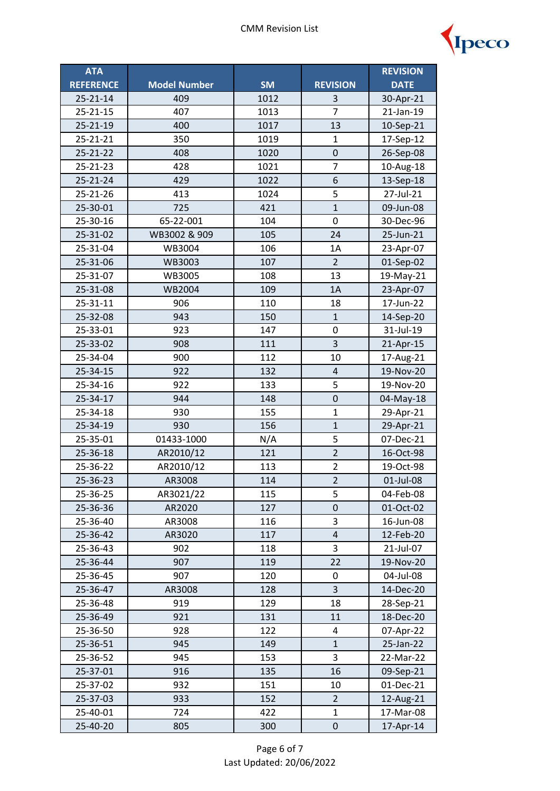

| <b>ATA</b>       |                     |           |                  | <b>REVISION</b> |
|------------------|---------------------|-----------|------------------|-----------------|
| <b>REFERENCE</b> | <b>Model Number</b> | <b>SM</b> | <b>REVISION</b>  | <b>DATE</b>     |
| $25 - 21 - 14$   | 409                 | 1012      | 3                | 30-Apr-21       |
| 25-21-15         | 407                 | 1013      | $\overline{7}$   | 21-Jan-19       |
| 25-21-19         | 400                 | 1017      | 13               | 10-Sep-21       |
| 25-21-21         | 350                 | 1019      | $\mathbf{1}$     | 17-Sep-12       |
| 25-21-22         | 408                 | 1020      | $\boldsymbol{0}$ | 26-Sep-08       |
| 25-21-23         | 428                 | 1021      | $\overline{7}$   | 10-Aug-18       |
| $25 - 21 - 24$   | 429                 | 1022      | 6                | 13-Sep-18       |
| 25-21-26         | 413                 | 1024      | 5                | 27-Jul-21       |
| 25-30-01         | 725                 | 421       | $\mathbf{1}$     | 09-Jun-08       |
| 25-30-16         | 65-22-001           | 104       | 0                | 30-Dec-96       |
| 25-31-02         | WB3002 & 909        | 105       | 24               | 25-Jun-21       |
| 25-31-04         | WB3004              | 106       | 1A               | 23-Apr-07       |
| 25-31-06         | WB3003              | 107       | $\overline{2}$   | 01-Sep-02       |
| 25-31-07         | WB3005              | 108       | 13               | 19-May-21       |
| 25-31-08         | <b>WB2004</b>       | 109       | 1A               | 23-Apr-07       |
| 25-31-11         | 906                 | 110       | 18               | 17-Jun-22       |
| 25-32-08         | 943                 | 150       | $\mathbf{1}$     | 14-Sep-20       |
| 25-33-01         | 923                 | 147       | 0                | 31-Jul-19       |
| 25-33-02         | 908                 | 111       | 3                | 21-Apr-15       |
| 25-34-04         | 900                 | 112       | 10               | 17-Aug-21       |
| $25 - 34 - 15$   | 922                 | 132       | $\overline{4}$   | 19-Nov-20       |
| 25-34-16         | 922                 | 133       | 5                | 19-Nov-20       |
| 25-34-17         | 944                 | 148       | $\mathbf 0$      | 04-May-18       |
| 25-34-18         | 930                 | 155       | $\mathbf{1}$     | 29-Apr-21       |
| 25-34-19         | 930                 | 156       | $\overline{1}$   | 29-Apr-21       |
| 25-35-01         | 01433-1000          | N/A       | 5                | 07-Dec-21       |
| 25-36-18         | AR2010/12           | 121       | $\overline{2}$   | 16-Oct-98       |
| 25-36-22         | AR2010/12           | 113       | $\overline{2}$   | 19-Oct-98       |
| 25-36-23         | AR3008              | 114       | $\overline{2}$   | 01-Jul-08       |
| 25-36-25         | AR3021/22           | 115       | 5                | 04-Feb-08       |
| 25-36-36         | AR2020              | 127       | 0                | 01-Oct-02       |
| 25-36-40         | AR3008              | 116       | 3                | 16-Jun-08       |
| 25-36-42         | AR3020              | 117       | $\pmb{4}$        | 12-Feb-20       |
| 25-36-43         | 902                 | 118       | 3                | 21-Jul-07       |
| 25-36-44         | 907                 | 119       | 22               | 19-Nov-20       |
| 25-36-45         | 907                 | 120       | 0                | 04-Jul-08       |
| 25-36-47         | AR3008              | 128       | 3                | 14-Dec-20       |
| 25-36-48         | 919                 | 129       | 18               | 28-Sep-21       |
| 25-36-49         | 921                 | 131       | 11               | 18-Dec-20       |
| 25-36-50         | 928                 | 122       | 4                | 07-Apr-22       |
| 25-36-51         | 945                 | 149       | $\mathbf{1}$     | 25-Jan-22       |
| 25-36-52         | 945                 | 153       | 3                | 22-Mar-22       |
| 25-37-01         | 916                 | 135       | 16               | 09-Sep-21       |
| 25-37-02         | 932                 | 151       | 10               | 01-Dec-21       |
| 25-37-03         | 933                 | 152       | 2                | 12-Aug-21       |
| 25-40-01         | 724                 | 422       | $\mathbf{1}$     | 17-Mar-08       |
| 25-40-20         | 805                 | 300       | 0                | 17-Apr-14       |